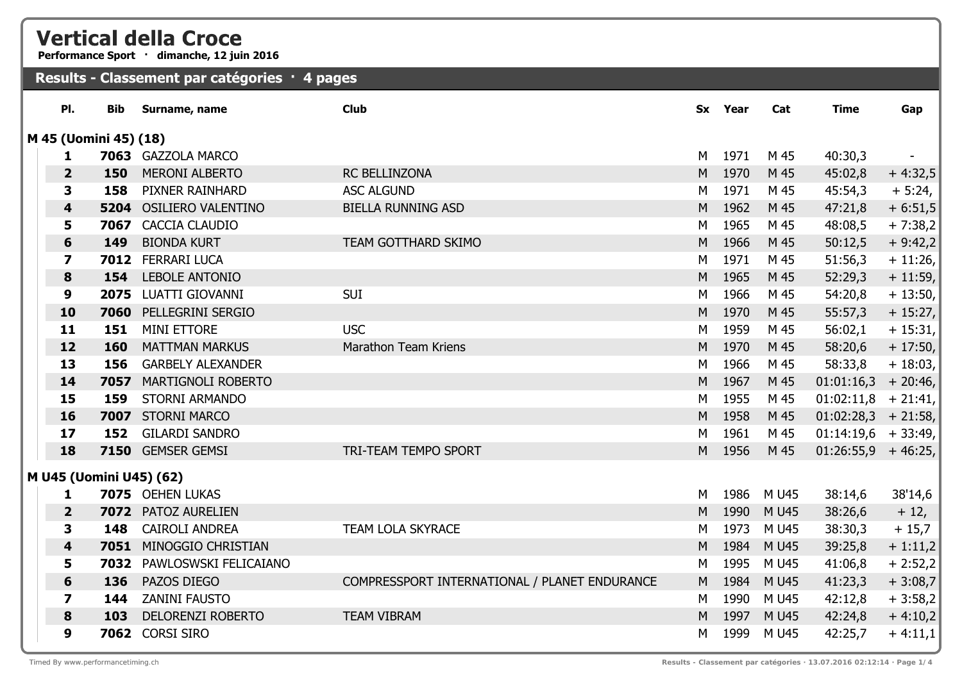## **Vertical della Croce**

**Performance Sport · dimanche, 12 juin 2016**

## **Results - Classement par catégories · 4 pages**

| PI.                     | <b>Bib</b>              | Surname, name             | <b>Club</b>                                   | <b>Sx</b> | Year | Cat        | <b>Time</b>           | Gap       |
|-------------------------|-------------------------|---------------------------|-----------------------------------------------|-----------|------|------------|-----------------------|-----------|
|                         | M 45 (Uomini 45) (18)   |                           |                                               |           |      |            |                       |           |
| 1                       |                         | 7063 GAZZOLA MARCO        |                                               | M         | 1971 | M 45       | 40:30,3               |           |
| $\overline{2}$          | 150                     | <b>MERONI ALBERTO</b>     | <b>RC BELLINZONA</b>                          | M         | 1970 | M 45       | 45:02,8               | $+4:32,5$ |
| 3                       | 158                     | PIXNER RAINHARD           | <b>ASC ALGUND</b>                             | M         | 1971 | M 45       | 45:54,3               | $+ 5:24,$ |
| $\overline{\mathbf{4}}$ |                         | 5204 OSILIERO VALENTINO   | <b>BIELLA RUNNING ASD</b>                     | M         | 1962 | M 45       | 47:21,8               | $+6:51,5$ |
| 5                       | 7067                    | CACCIA CLAUDIO            |                                               | M         | 1965 | M 45       | 48:08,5               | $+7:38,2$ |
| $6\phantom{1}$          | 149                     | <b>BIONDA KURT</b>        | TEAM GOTTHARD SKIMO                           | M         | 1966 | M 45       | 50:12,5               | $+9:42,2$ |
| $\overline{\mathbf{z}}$ | 7012                    | <b>FERRARI LUCA</b>       |                                               | M         | 1971 | M 45       | 51:56,3               | $+11:26$  |
| 8                       | 154                     | <b>LEBOLE ANTONIO</b>     |                                               | M         | 1965 | M 45       | 52:29,3               | $+11:59$  |
| $\boldsymbol{9}$        |                         | 2075 LUATTI GIOVANNI      | <b>SUI</b>                                    | M         | 1966 | M 45       | 54:20,8               | $+13:50,$ |
| 10                      |                         | 7060 PELLEGRINI SERGIO    |                                               | M         | 1970 | M 45       | 55:57,3               | $+15:27,$ |
| 11                      | 151                     | <b>MINI ETTORE</b>        | <b>USC</b>                                    | М         | 1959 | M 45       | 56:02,1               | $+15:31,$ |
| 12                      | 160                     | <b>MATTMAN MARKUS</b>     | Marathon Team Kriens                          | M         | 1970 | M 45       | 58:20,6               | $+17:50,$ |
| 13                      | 156                     | <b>GARBELY ALEXANDER</b>  |                                               | M         | 1966 | M 45       | 58:33,8               | $+18:03,$ |
| 14                      | 7057                    | <b>MARTIGNOLI ROBERTO</b> |                                               | M         | 1967 | M 45       | 01:01:16,3            | $+20:46,$ |
| 15                      | 159                     | <b>STORNI ARMANDO</b>     |                                               | M         | 1955 | M 45       | 01:02:11,8            | $+21:41,$ |
| 16                      | 7007                    | <b>STORNI MARCO</b>       |                                               | M         | 1958 | M 45       | $01:02:28,3$ + 21:58, |           |
| 17                      | 152                     | <b>GILARDI SANDRO</b>     |                                               | M         | 1961 | M 45       | $01:14:19,6$ + 33:49, |           |
| 18                      |                         | 7150 GEMSER GEMSI         | TRI-TEAM TEMPO SPORT                          | M         | 1956 | M 45       | $01:26:55,9$ + 46:25, |           |
|                         | M U45 (Uomini U45) (62) |                           |                                               |           |      |            |                       |           |
| 1                       |                         | 7075 OEHEN LUKAS          |                                               | М         | 1986 | M U45      | 38:14,6               | 38'14,6   |
| $\overline{2}$          |                         | 7072 PATOZ AURELIEN       |                                               | M         | 1990 | M U45      | 38:26,6               | $+12,$    |
| 3                       | 148                     | <b>CAIROLI ANDREA</b>     | <b>TEAM LOLA SKYRACE</b>                      | M         | 1973 | M U45      | 38:30,3               | $+15,7$   |
| 4                       | 7051                    | MINOGGIO CHRISTIAN        |                                               | M         | 1984 | M U45      | 39:25,8               | $+1:11,2$ |
| 5                       | 7032                    | PAWLOSWSKI FELICAIANO     |                                               | M         | 1995 | M U45      | 41:06,8               | $+2:52,2$ |
| 6                       | 136                     | PAZOS DIEGO               | COMPRESSPORT INTERNATIONAL / PLANET ENDURANCE | M         | 1984 | M U45      | 41:23,3               | $+3:08,7$ |
| $\overline{\mathbf{z}}$ | 144                     | <b>ZANINI FAUSTO</b>      |                                               | М         | 1990 | M U45      | 42:12,8               | $+3:58,2$ |
| 8                       | 103                     | <b>DELORENZI ROBERTO</b>  | <b>TEAM VIBRAM</b>                            | M         | 1997 | M U45      | 42:24,8               | $+4:10,2$ |
| 9                       |                         | 7062 CORSI SIRO           |                                               | М         |      | 1999 M U45 | 42:25,7               | $+4:11,1$ |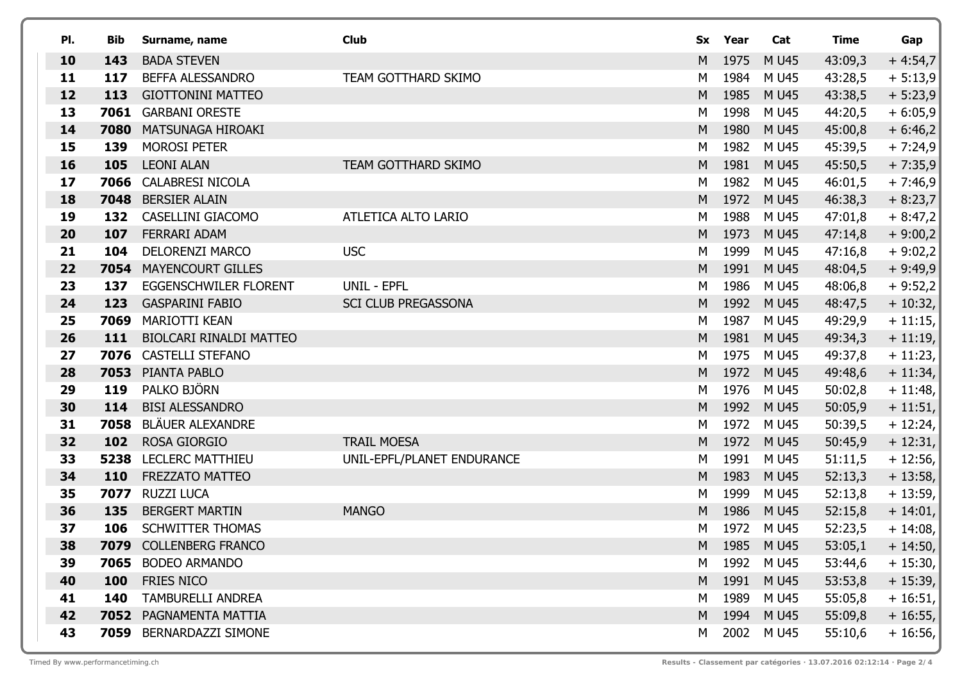| PI. | Bib  | Surname, name                  | <b>Club</b>                |   | Sx Year | Cat         | <b>Time</b> | Gap        |
|-----|------|--------------------------------|----------------------------|---|---------|-------------|-------------|------------|
| 10  | 143  | <b>BADA STEVEN</b>             |                            | M | 1975    | M U45       | 43:09,3     | $+4:54,7$  |
| 11  | 117  | BEFFA ALESSANDRO               | TEAM GOTTHARD SKIMO        | M | 1984    | M U45       | 43:28,5     | $+5:13,9$  |
| 12  | 113  | <b>GIOTTONINI MATTEO</b>       |                            | M | 1985    | M U45       | 43:38,5     | $+ 5:23,9$ |
| 13  | 7061 | <b>GARBANI ORESTE</b>          |                            | M | 1998    | M U45       | 44:20,5     | $+6:05,9$  |
| 14  | 7080 | MATSUNAGA HIROAKI              |                            | M | 1980    | M U45       | 45:00,8     | $+6:46,2$  |
| 15  | 139  | <b>MOROSI PETER</b>            |                            | М | 1982    | M U45       | 45:39,5     | $+7:24,9$  |
| 16  | 105  | <b>LEONI ALAN</b>              | TEAM GOTTHARD SKIMO        | M | 1981    | M U45       | 45:50,5     | $+7:35,9$  |
| 17  | 7066 | <b>CALABRESI NICOLA</b>        |                            | M | 1982    | M U45       | 46:01,5     | $+7:46,9$  |
| 18  | 7048 | <b>BERSIER ALAIN</b>           |                            | M | 1972    | M U45       | 46:38,3     | $+8:23,7$  |
| 19  | 132  | CASELLINI GIACOMO              | ATLETICA ALTO LARIO        | М | 1988    | M U45       | 47:01,8     | $+8:47,2$  |
| 20  | 107  | FERRARI ADAM                   |                            | M | 1973    | M U45       | 47:14,8     | $+9:00,2$  |
| 21  | 104  | <b>DELORENZI MARCO</b>         | <b>USC</b>                 | М | 1999    | M U45       | 47:16,8     | $+9:02,2$  |
| 22  | 7054 | <b>MAYENCOURT GILLES</b>       |                            | M | 1991    | M U45       | 48:04,5     | $+9:49,9$  |
| 23  | 137  | <b>EGGENSCHWILER FLORENT</b>   | UNIL - EPFL                | М | 1986    | M U45       | 48:06,8     | $+9:52,2$  |
| 24  | 123  | <b>GASPARINI FABIO</b>         | <b>SCI CLUB PREGASSONA</b> | M | 1992    | M U45       | 48:47,5     | $+10:32,$  |
| 25  | 7069 | <b>MARIOTTI KEAN</b>           |                            | М | 1987    | M U45       | 49:29,9     | $+11:15,$  |
| 26  | 111  | <b>BIOLCARI RINALDI MATTEO</b> |                            | M | 1981    | M U45       | 49:34,3     | $+ 11:19,$ |
| 27  | 7076 | <b>CASTELLI STEFANO</b>        |                            | М | 1975    | M U45       | 49:37,8     | $+11:23,$  |
| 28  | 7053 | PIANTA PABLO                   |                            | M | 1972    | M U45       | 49:48,6     | $+ 11:34,$ |
| 29  | 119  | PALKO BJÖRN                    |                            | М | 1976    | M U45       | 50:02,8     | $+11:48,$  |
| 30  | 114  | <b>BISI ALESSANDRO</b>         |                            | M | 1992    | M U45       | 50:05,9     | $+11:51,$  |
| 31  | 7058 | <b>BLÄUER ALEXANDRE</b>        |                            | M | 1972    | M U45       | 50:39,5     | $+ 12:24,$ |
| 32  | 102  | <b>ROSA GIORGIO</b>            | <b>TRAIL MOESA</b>         | M | 1972    | M U45       | 50:45,9     | $+12:31,$  |
| 33  | 5238 | <b>LECLERC MATTHIEU</b>        | UNIL-EPFL/PLANET ENDURANCE | М | 1991    | M U45       | 51:11,5     | $+12:56,$  |
| 34  | 110  | FREZZATO MATTEO                |                            | M | 1983    | M U45       | 52:13,3     | $+13:58,$  |
| 35  | 7077 | <b>RUZZI LUCA</b>              |                            | M | 1999    | M U45       | 52:13,8     | $+13:59,$  |
| 36  | 135  | <b>BERGERT MARTIN</b>          | <b>MANGO</b>               | M | 1986    | M U45       | 52:15,8     | $+14:01,$  |
| 37  | 106  | <b>SCHWITTER THOMAS</b>        |                            | М | 1972    | M U45       | 52:23,5     | $+14:08,$  |
| 38  | 7079 | <b>COLLENBERG FRANCO</b>       |                            |   | M 1985  | <b>MU45</b> | 53:05,1     | $+ 14:50,$ |
| 39  | 7065 | <b>BODEO ARMANDO</b>           |                            | М | 1992    | M U45       | 53:44,6     | $+15:30,$  |
| 40  | 100  | FRIES NICO                     |                            | M | 1991    | M U45       | 53:53,8     | $+15:39,$  |
| 41  | 140  | TAMBURELLI ANDREA              |                            | М | 1989    | M U45       | 55:05,8     | $+16:51,$  |
| 42  | 7052 | PAGNAMENTA MATTIA              |                            | M | 1994    | M U45       | 55:09,8     | $+16:55,$  |
| 43  | 7059 | <b>BERNARDAZZI SIMONE</b>      |                            | М | 2002    | M U45       | 55:10,6     | $+16:56,$  |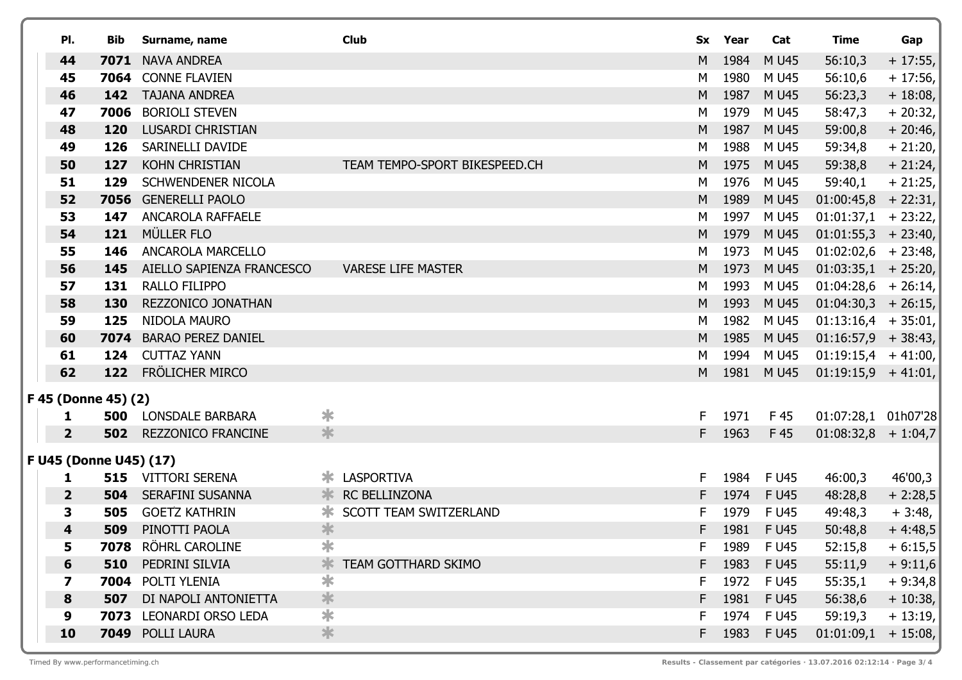| PI.                     | Bib | Surname, name                          |        | <b>Club</b>                                   |          | Sx Year      | Cat            | <b>Time</b>           | Gap                   |
|-------------------------|-----|----------------------------------------|--------|-----------------------------------------------|----------|--------------|----------------|-----------------------|-----------------------|
| 44                      |     | 7071 NAVA ANDREA                       |        |                                               | M        | 1984         | M U45          | 56:10,3               | $+17:55,$             |
| 45                      |     | 7064 CONNE FLAVIEN                     |        |                                               | M        | 1980         | M U45          | 56:10,6               | $+17:56,$             |
| 46                      | 142 | <b>TAJANA ANDREA</b>                   |        |                                               | M        | 1987         | M U45          | 56:23,3               | $+18:08,$             |
| 47                      |     | 7006 BORIOLI STEVEN                    |        |                                               | M        | 1979         | M U45          | 58:47,3               | $+20:32,$             |
| 48                      | 120 | <b>LUSARDI CHRISTIAN</b>               |        |                                               | M        | 1987         | M U45          | 59:00,8               | $+20:46,$             |
| 49                      | 126 | SARINELLI DAVIDE                       |        |                                               | M        | 1988         | M U45          | 59:34,8               | $+21:20,$             |
| 50                      | 127 | <b>KOHN CHRISTIAN</b>                  |        | TEAM TEMPO-SPORT BIKESPEED.CH                 | M        | 1975         | M U45          | 59:38,8               | $+21:24,$             |
| 51                      | 129 | <b>SCHWENDENER NICOLA</b>              |        |                                               | M        | 1976         | M U45          | 59:40,1               | $+21:25,$             |
| 52                      |     | 7056 GENERELLI PAOLO                   |        |                                               | M        | 1989         | M U45          | $01:00:45,8$ + 22:31, |                       |
| 53                      | 147 | ANCAROLA RAFFAELE                      |        |                                               | M        | 1997         | M U45          | $01:01:37,1$ + 23:22, |                       |
| 54                      | 121 | MÜLLER FLO                             |        |                                               | M        | 1979         | M U45          | $01:01:55,3$ + 23:40, |                       |
| 55                      | 146 | <b>ANCAROLA MARCELLO</b>               |        |                                               | M        | 1973         | M U45          | $01:02:02,6$ + 23:48, |                       |
| 56                      | 145 | AIELLO SAPIENZA FRANCESCO              |        | <b>VARESE LIFE MASTER</b>                     | M        | 1973         | M U45          | $01:03:35,1$ + 25:20, |                       |
| 57                      | 131 | RALLO FILIPPO                          |        |                                               | M        | 1993         | M U45          | $01:04:28,6$ + 26:14, |                       |
| 58                      | 130 | REZZONICO JONATHAN                     |        |                                               | M        | 1993         | M U45          | $01:04:30,3$ + 26:15, |                       |
| 59                      | 125 | NIDOLA MAURO                           |        |                                               | M        | 1982         | M U45          | $01:13:16,4$ + 35:01, |                       |
| 60                      |     | 7074 BARAO PEREZ DANIEL                |        |                                               | M        | 1985         | M U45          | $01:16:57,9$ + 38:43, |                       |
| 61                      | 124 | <b>CUTTAZ YANN</b>                     |        |                                               | M        | 1994         | M U45          | $01:19:15,4$ + 41:00, |                       |
| 62                      |     | 122 FRÖLICHER MIRCO                    |        |                                               | M        | 1981         | M U45          | $01:19:15,9$ + 41:01, |                       |
| F 45 (Donne 45) (2)     |     |                                        |        |                                               |          |              |                |                       |                       |
| 1.                      |     | <b>500 LONSDALE BARBARA</b>            | ∗      |                                               | F.       | 1971         | F 45           | 01:07:28,1 01h07'28   |                       |
| $\overline{2}$          |     | <b>502</b> REZZONICO FRANCINE          | $\ast$ |                                               | F.       | 1963         | F 45           | $01:08:32,8 + 1:04,7$ |                       |
|                         |     |                                        |        |                                               |          |              |                |                       |                       |
| F U45 (Donne U45) (17)  |     |                                        |        |                                               |          |              |                |                       |                       |
| 1<br>$\overline{2}$     | 504 | 515 VITTORI SERENA<br>SERAFINI SUSANNA |        | <b>* LASPORTIVA</b><br><b>K RC BELLINZONA</b> | F.<br>F. | 1984<br>1974 | F U45<br>F U45 | 46:00,3               | 46'00,3               |
| 3                       | 505 | <b>GOETZ KATHRIN</b>                   |        | <b>* SCOTT TEAM SWITZERLAND</b>               | F        | 1979         | F U45          | 48:28,8<br>49:48,3    | $+2:28,5$             |
| $\overline{\mathbf{4}}$ | 509 | PINOTTI PAOLA                          | $\ast$ |                                               | F        | 1981         | F U45          | 50:48,8               | $+3:48,$<br>$+4:48,5$ |
| 5                       |     | 7078 RÖHRL CAROLINE                    | ≭      |                                               | F.       | 1989         | F U45          | 52:15,8               | $+6:15,5$             |
| 6                       | 510 | PEDRINI SILVIA                         | ∗      | <b>TEAM GOTTHARD SKIMO</b>                    | F.       | 1983         | F U45          | 55:11,9               | $+9:11,6$             |
| 7                       |     | 7004 POLTI YLENIA                      | $\ast$ |                                               | F.       |              | 1972 F U45     | 55:35,1               | $+9:34,8$             |
| 8                       | 507 | DI NAPOLI ANTONIETTA                   | $\ast$ |                                               | F.       | 1981         | <b>FU45</b>    | 56:38,6               | $+10:38,$             |
| 9                       |     | 7073 LEONARDI ORSO LEDA                | $\ast$ |                                               | F.       | 1974         | F U45          | 59:19,3               | $+13:19,$             |
| 10                      |     | 7049 POLLI LAURA                       | $\ast$ |                                               | F.       | 1983         | F U45          | 01:01:09,1            | $+15:08,$             |
|                         |     |                                        |        |                                               |          |              |                |                       |                       |